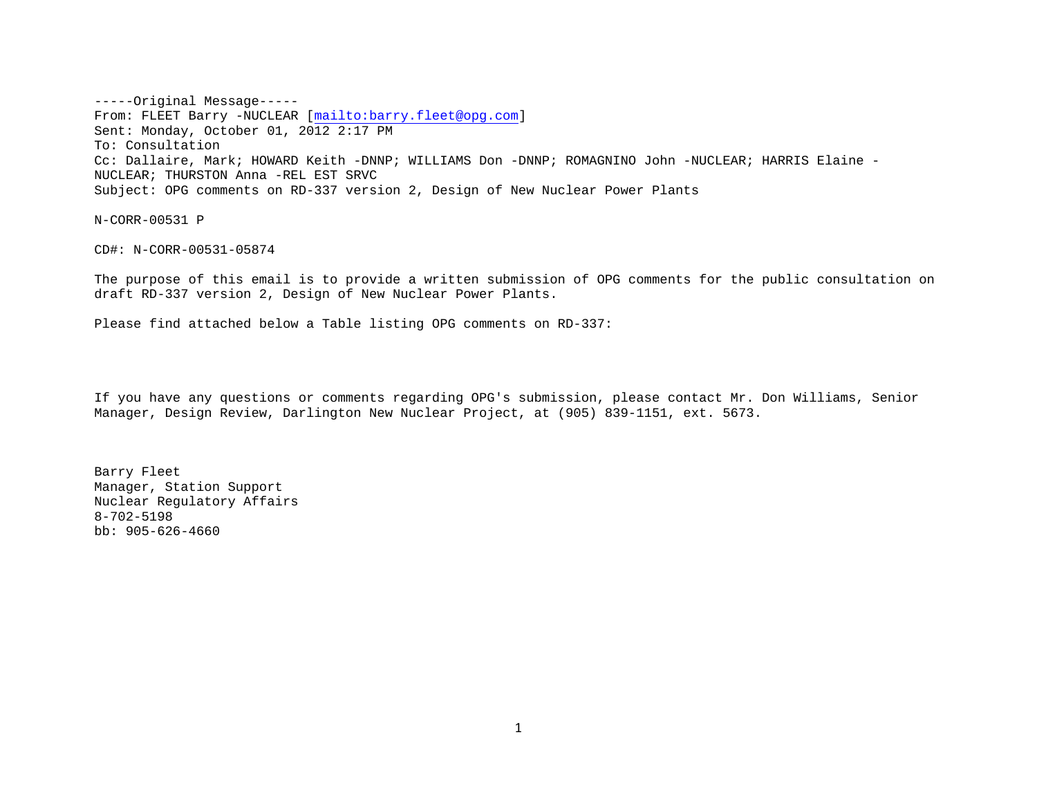-----Original Message----- From: FLEET Barry -NUCLEAR [<mailto:barry.fleet@opg.com>] Sent: Monday, October 01, 2012 2:17 PM To: Consultation Cc: Dallaire, Mark; HOWARD Keith -DNNP; WILLIAMS Don -DNNP; ROMAGNINO John -NUCLEAR; HARRIS Elaine - NUCLEAR; THURSTON Anna -REL EST SRVC Subject: OPG comments on RD-337 version 2, Design of New Nuclear Power Plants

N-CORR-00531 P

CD#: N-CORR-00531-05874

The purpose of this email is to provide a written submission of OPG comments for the public consultation on draft RD-337 version 2, Design of New Nuclear Power Plants.

Please find attached below a Table listing OPG comments on RD-337:

If you have any questions or comments regarding OPG's submission, please contact Mr. Don Williams, Senior Manager, Design Review, Darlington New Nuclear Project, at (905) 839-1151, ext. 5673.

Barry Fleet Manager, Station Support Nuclear Regulatory Affairs 8-702-5198 bb: 905-626-4660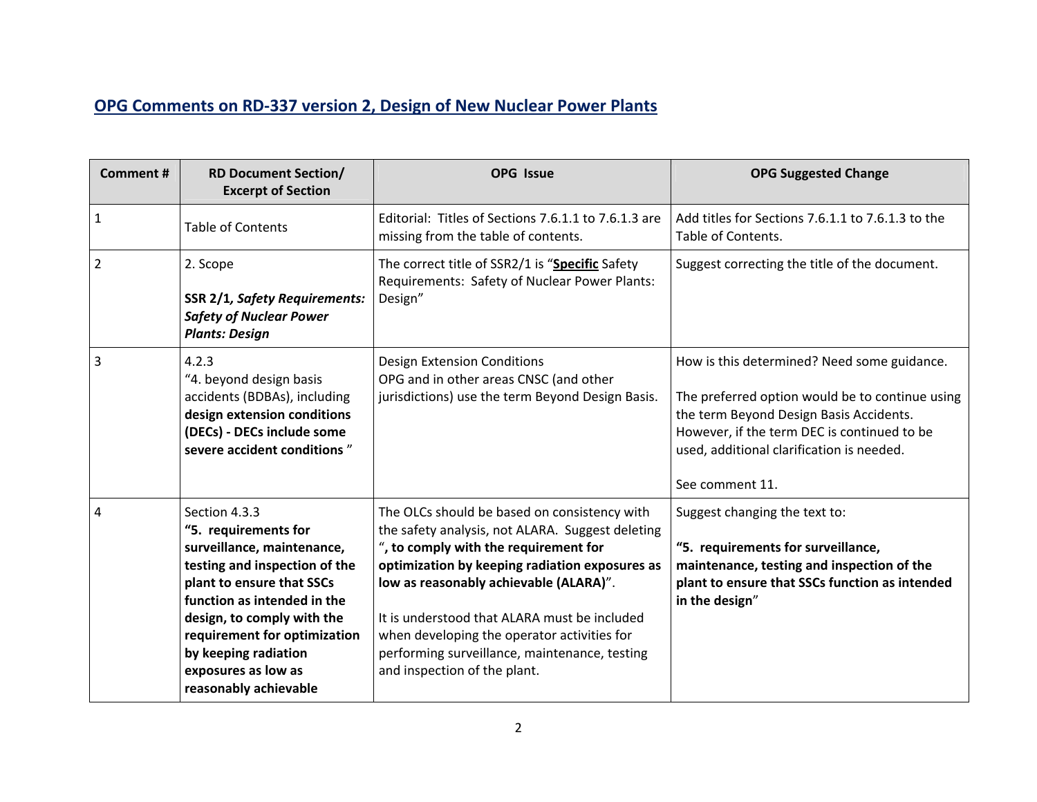## **OPG Comments on RD‐337 version 2, Design of New Nuclear Power Plants**

| <b>Comment#</b> | <b>RD Document Section/</b><br><b>Excerpt of Section</b>                                                                                                                                                                                                                                               | <b>OPG Issue</b>                                                                                                                                                                                                                                                                                                                                                                                                      | <b>OPG Suggested Change</b>                                                                                                                                                                                                                              |
|-----------------|--------------------------------------------------------------------------------------------------------------------------------------------------------------------------------------------------------------------------------------------------------------------------------------------------------|-----------------------------------------------------------------------------------------------------------------------------------------------------------------------------------------------------------------------------------------------------------------------------------------------------------------------------------------------------------------------------------------------------------------------|----------------------------------------------------------------------------------------------------------------------------------------------------------------------------------------------------------------------------------------------------------|
| 1               | <b>Table of Contents</b>                                                                                                                                                                                                                                                                               | Editorial: Titles of Sections 7.6.1.1 to 7.6.1.3 are<br>missing from the table of contents.                                                                                                                                                                                                                                                                                                                           | Add titles for Sections 7.6.1.1 to 7.6.1.3 to the<br>Table of Contents.                                                                                                                                                                                  |
| $\overline{2}$  | 2. Scope<br><b>SSR 2/1, Safety Requirements:</b><br><b>Safety of Nuclear Power</b><br><b>Plants: Design</b>                                                                                                                                                                                            | The correct title of SSR2/1 is "Specific Safety<br>Requirements: Safety of Nuclear Power Plants:<br>Design"                                                                                                                                                                                                                                                                                                           | Suggest correcting the title of the document.                                                                                                                                                                                                            |
| 3               | 4.2.3<br>"4. beyond design basis<br>accidents (BDBAs), including<br>design extension conditions<br>(DECs) - DECs include some<br>severe accident conditions"                                                                                                                                           | Design Extension Conditions<br>OPG and in other areas CNSC (and other<br>jurisdictions) use the term Beyond Design Basis.                                                                                                                                                                                                                                                                                             | How is this determined? Need some guidance.<br>The preferred option would be to continue using<br>the term Beyond Design Basis Accidents.<br>However, if the term DEC is continued to be<br>used, additional clarification is needed.<br>See comment 11. |
| 4               | Section 4.3.3<br>"5. requirements for<br>surveillance, maintenance,<br>testing and inspection of the<br>plant to ensure that SSCs<br>function as intended in the<br>design, to comply with the<br>requirement for optimization<br>by keeping radiation<br>exposures as low as<br>reasonably achievable | The OLCs should be based on consistency with<br>the safety analysis, not ALARA. Suggest deleting<br>", to comply with the requirement for<br>optimization by keeping radiation exposures as<br>low as reasonably achievable (ALARA)".<br>It is understood that ALARA must be included<br>when developing the operator activities for<br>performing surveillance, maintenance, testing<br>and inspection of the plant. | Suggest changing the text to:<br>"5. requirements for surveillance,<br>maintenance, testing and inspection of the<br>plant to ensure that SSCs function as intended<br>in the design"                                                                    |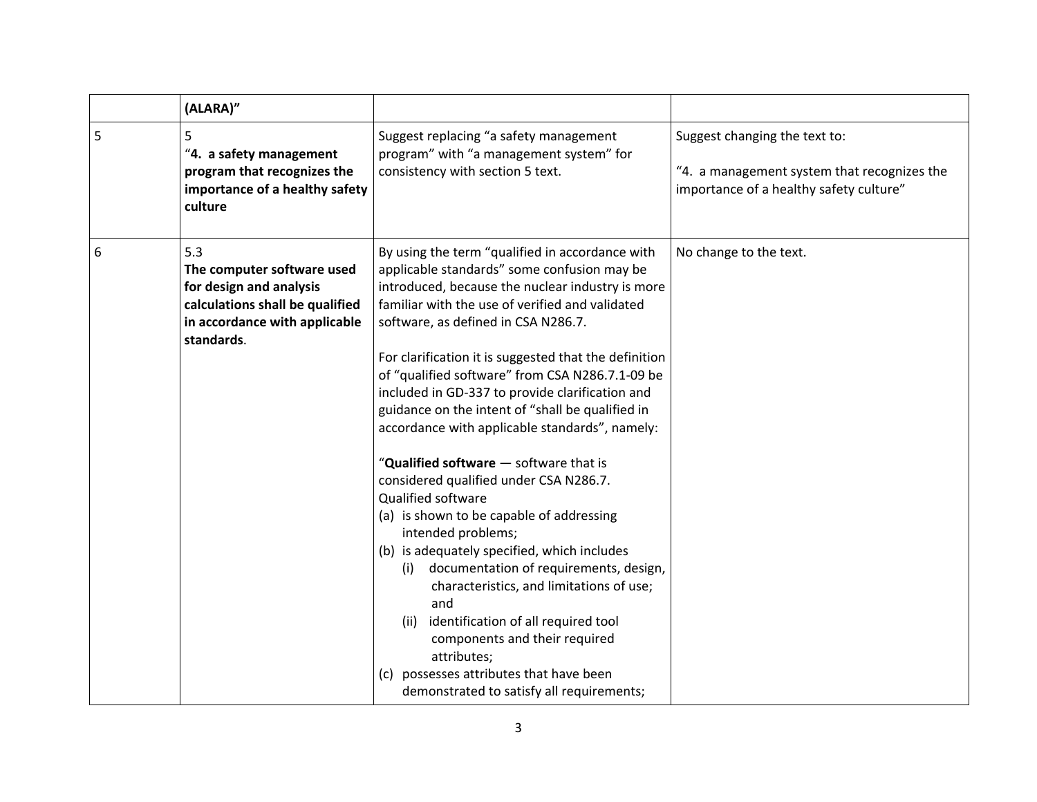|   | (ALARA)"                                                                                                                                       |                                                                                                                                                                                                                                                                                                                                                                                                                                                                                                                                                                                                                                                                                                                                                                                                                                                                                                                                                                                                                                            |                                                                                                                         |
|---|------------------------------------------------------------------------------------------------------------------------------------------------|--------------------------------------------------------------------------------------------------------------------------------------------------------------------------------------------------------------------------------------------------------------------------------------------------------------------------------------------------------------------------------------------------------------------------------------------------------------------------------------------------------------------------------------------------------------------------------------------------------------------------------------------------------------------------------------------------------------------------------------------------------------------------------------------------------------------------------------------------------------------------------------------------------------------------------------------------------------------------------------------------------------------------------------------|-------------------------------------------------------------------------------------------------------------------------|
| 5 | 5<br>"4. a safety management<br>program that recognizes the<br>importance of a healthy safety<br>culture                                       | Suggest replacing "a safety management<br>program" with "a management system" for<br>consistency with section 5 text.                                                                                                                                                                                                                                                                                                                                                                                                                                                                                                                                                                                                                                                                                                                                                                                                                                                                                                                      | Suggest changing the text to:<br>"4. a management system that recognizes the<br>importance of a healthy safety culture" |
| 6 | 5.3<br>The computer software used<br>for design and analysis<br>calculations shall be qualified<br>in accordance with applicable<br>standards. | By using the term "qualified in accordance with<br>applicable standards" some confusion may be<br>introduced, because the nuclear industry is more<br>familiar with the use of verified and validated<br>software, as defined in CSA N286.7.<br>For clarification it is suggested that the definition<br>of "qualified software" from CSA N286.7.1-09 be<br>included in GD-337 to provide clarification and<br>guidance on the intent of "shall be qualified in<br>accordance with applicable standards", namely:<br>"Qualified software - software that is<br>considered qualified under CSA N286.7.<br>Qualified software<br>(a) is shown to be capable of addressing<br>intended problems;<br>(b) is adequately specified, which includes<br>documentation of requirements, design,<br>(i)<br>characteristics, and limitations of use;<br>and<br>identification of all required tool<br>(ii)<br>components and their required<br>attributes;<br>possesses attributes that have been<br>(c)<br>demonstrated to satisfy all requirements; | No change to the text.                                                                                                  |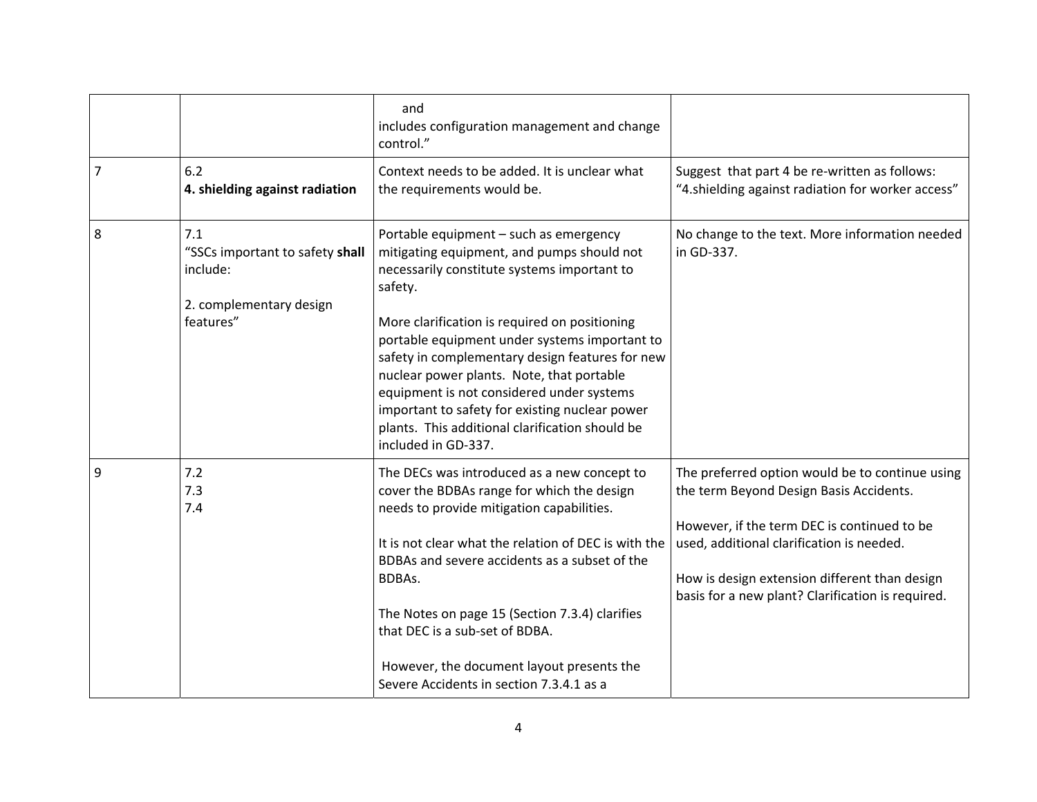|   |                                                                                            | and<br>includes configuration management and change<br>control."                                                                                                                                                                                                                                                                                                                                                                                                                                                          |                                                                                                                                                                                                                                                                                              |
|---|--------------------------------------------------------------------------------------------|---------------------------------------------------------------------------------------------------------------------------------------------------------------------------------------------------------------------------------------------------------------------------------------------------------------------------------------------------------------------------------------------------------------------------------------------------------------------------------------------------------------------------|----------------------------------------------------------------------------------------------------------------------------------------------------------------------------------------------------------------------------------------------------------------------------------------------|
| 7 | 6.2<br>4. shielding against radiation                                                      | Context needs to be added. It is unclear what<br>the requirements would be.                                                                                                                                                                                                                                                                                                                                                                                                                                               | Suggest that part 4 be re-written as follows:<br>"4.shielding against radiation for worker access"                                                                                                                                                                                           |
| 8 | 7.1<br>"SSCs important to safety shall<br>include:<br>2. complementary design<br>features" | Portable equipment - such as emergency<br>mitigating equipment, and pumps should not<br>necessarily constitute systems important to<br>safety.<br>More clarification is required on positioning<br>portable equipment under systems important to<br>safety in complementary design features for new<br>nuclear power plants. Note, that portable<br>equipment is not considered under systems<br>important to safety for existing nuclear power<br>plants. This additional clarification should be<br>included in GD-337. | No change to the text. More information needed<br>in GD-337.                                                                                                                                                                                                                                 |
| 9 | 7.2<br>7.3<br>7.4                                                                          | The DECs was introduced as a new concept to<br>cover the BDBAs range for which the design<br>needs to provide mitigation capabilities.<br>It is not clear what the relation of DEC is with the<br>BDBAs and severe accidents as a subset of the<br>BDBAs.<br>The Notes on page 15 (Section 7.3.4) clarifies<br>that DEC is a sub-set of BDBA.<br>However, the document layout presents the<br>Severe Accidents in section 7.3.4.1 as a                                                                                    | The preferred option would be to continue using<br>the term Beyond Design Basis Accidents.<br>However, if the term DEC is continued to be<br>used, additional clarification is needed.<br>How is design extension different than design<br>basis for a new plant? Clarification is required. |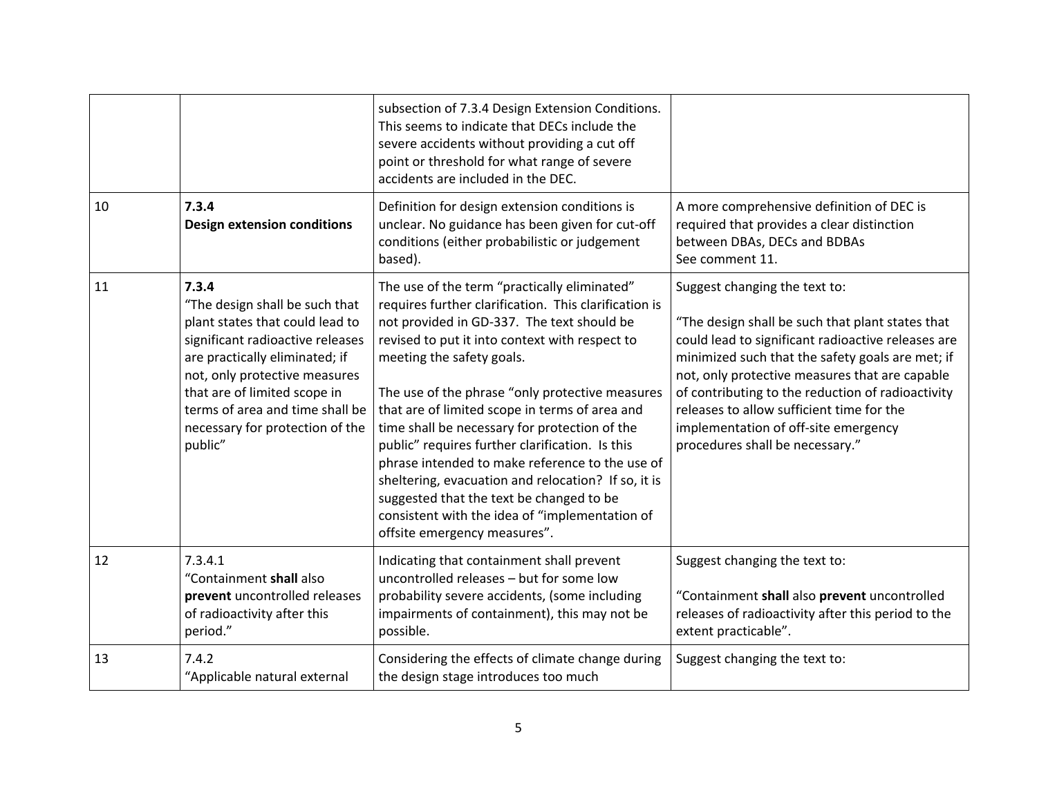|    |                                                                                                                                                                                                                                                                                                    | subsection of 7.3.4 Design Extension Conditions.<br>This seems to indicate that DECs include the<br>severe accidents without providing a cut off<br>point or threshold for what range of severe<br>accidents are included in the DEC.                                                                                                                                                                                                                                                                                                                                                                                                                                               |                                                                                                                                                                                                                                                                                                                                                                                                                            |
|----|----------------------------------------------------------------------------------------------------------------------------------------------------------------------------------------------------------------------------------------------------------------------------------------------------|-------------------------------------------------------------------------------------------------------------------------------------------------------------------------------------------------------------------------------------------------------------------------------------------------------------------------------------------------------------------------------------------------------------------------------------------------------------------------------------------------------------------------------------------------------------------------------------------------------------------------------------------------------------------------------------|----------------------------------------------------------------------------------------------------------------------------------------------------------------------------------------------------------------------------------------------------------------------------------------------------------------------------------------------------------------------------------------------------------------------------|
| 10 | 7.3.4<br><b>Design extension conditions</b>                                                                                                                                                                                                                                                        | Definition for design extension conditions is<br>unclear. No guidance has been given for cut-off<br>conditions (either probabilistic or judgement<br>based).                                                                                                                                                                                                                                                                                                                                                                                                                                                                                                                        | A more comprehensive definition of DEC is<br>required that provides a clear distinction<br>between DBAs, DECs and BDBAs<br>See comment 11.                                                                                                                                                                                                                                                                                 |
| 11 | 7.3.4<br>"The design shall be such that<br>plant states that could lead to<br>significant radioactive releases<br>are practically eliminated; if<br>not, only protective measures<br>that are of limited scope in<br>terms of area and time shall be<br>necessary for protection of the<br>public" | The use of the term "practically eliminated"<br>requires further clarification. This clarification is<br>not provided in GD-337. The text should be<br>revised to put it into context with respect to<br>meeting the safety goals.<br>The use of the phrase "only protective measures<br>that are of limited scope in terms of area and<br>time shall be necessary for protection of the<br>public" requires further clarification. Is this<br>phrase intended to make reference to the use of<br>sheltering, evacuation and relocation? If so, it is<br>suggested that the text be changed to be<br>consistent with the idea of "implementation of<br>offsite emergency measures". | Suggest changing the text to:<br>"The design shall be such that plant states that<br>could lead to significant radioactive releases are<br>minimized such that the safety goals are met; if<br>not, only protective measures that are capable<br>of contributing to the reduction of radioactivity<br>releases to allow sufficient time for the<br>implementation of off-site emergency<br>procedures shall be necessary." |
| 12 | 7.3.4.1<br>"Containment shall also<br>prevent uncontrolled releases<br>of radioactivity after this<br>period."                                                                                                                                                                                     | Indicating that containment shall prevent<br>uncontrolled releases - but for some low<br>probability severe accidents, (some including<br>impairments of containment), this may not be<br>possible.                                                                                                                                                                                                                                                                                                                                                                                                                                                                                 | Suggest changing the text to:<br>"Containment shall also prevent uncontrolled<br>releases of radioactivity after this period to the<br>extent practicable".                                                                                                                                                                                                                                                                |
| 13 | 7.4.2<br>"Applicable natural external                                                                                                                                                                                                                                                              | Considering the effects of climate change during<br>the design stage introduces too much                                                                                                                                                                                                                                                                                                                                                                                                                                                                                                                                                                                            | Suggest changing the text to:                                                                                                                                                                                                                                                                                                                                                                                              |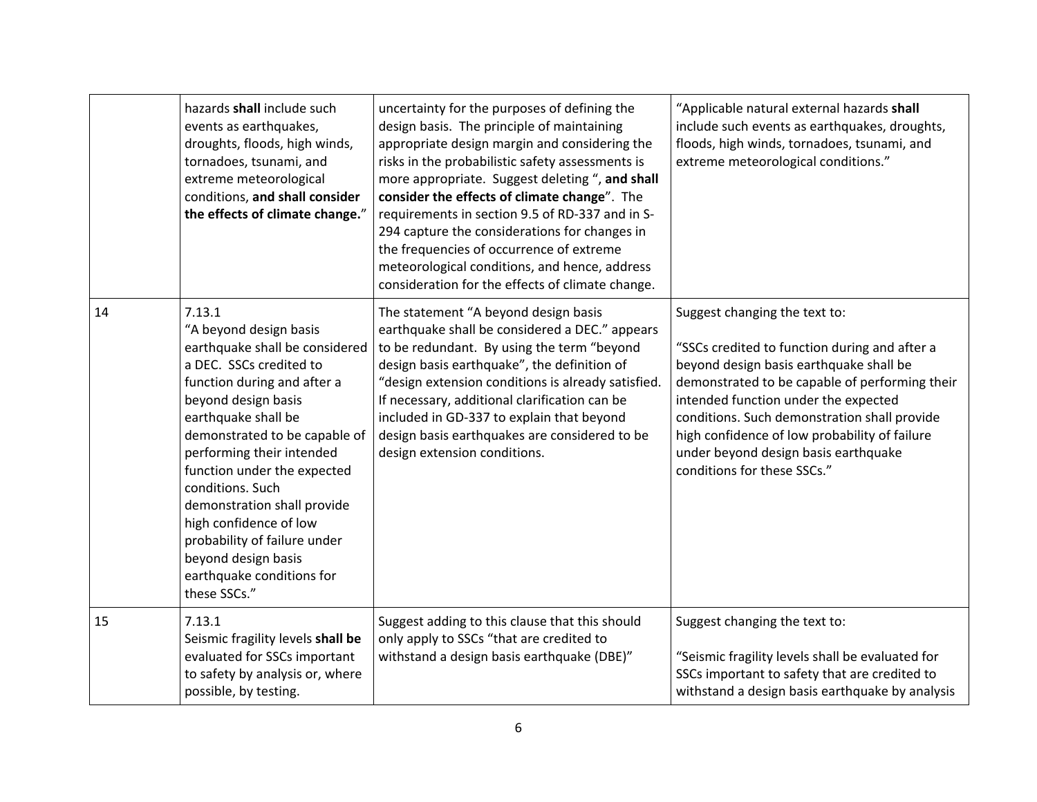|    | hazards shall include such<br>events as earthquakes,<br>droughts, floods, high winds,<br>tornadoes, tsunami, and<br>extreme meteorological<br>conditions, and shall consider<br>the effects of climate change."                                                                                                                                                                                                                                          | uncertainty for the purposes of defining the<br>design basis. The principle of maintaining<br>appropriate design margin and considering the<br>risks in the probabilistic safety assessments is<br>more appropriate. Suggest deleting ", and shall<br>consider the effects of climate change". The<br>requirements in section 9.5 of RD-337 and in S-<br>294 capture the considerations for changes in<br>the frequencies of occurrence of extreme<br>meteorological conditions, and hence, address<br>consideration for the effects of climate change. | "Applicable natural external hazards shall<br>include such events as earthquakes, droughts,<br>floods, high winds, tornadoes, tsunami, and<br>extreme meteorological conditions."                                                                                                                                                                                                           |
|----|----------------------------------------------------------------------------------------------------------------------------------------------------------------------------------------------------------------------------------------------------------------------------------------------------------------------------------------------------------------------------------------------------------------------------------------------------------|---------------------------------------------------------------------------------------------------------------------------------------------------------------------------------------------------------------------------------------------------------------------------------------------------------------------------------------------------------------------------------------------------------------------------------------------------------------------------------------------------------------------------------------------------------|---------------------------------------------------------------------------------------------------------------------------------------------------------------------------------------------------------------------------------------------------------------------------------------------------------------------------------------------------------------------------------------------|
| 14 | 7.13.1<br>"A beyond design basis<br>earthquake shall be considered<br>a DEC. SSCs credited to<br>function during and after a<br>beyond design basis<br>earthquake shall be<br>demonstrated to be capable of<br>performing their intended<br>function under the expected<br>conditions. Such<br>demonstration shall provide<br>high confidence of low<br>probability of failure under<br>beyond design basis<br>earthquake conditions for<br>these SSCs." | The statement "A beyond design basis<br>earthquake shall be considered a DEC." appears<br>to be redundant. By using the term "beyond<br>design basis earthquake", the definition of<br>"design extension conditions is already satisfied.<br>If necessary, additional clarification can be<br>included in GD-337 to explain that beyond<br>design basis earthquakes are considered to be<br>design extension conditions.                                                                                                                                | Suggest changing the text to:<br>"SSCs credited to function during and after a<br>beyond design basis earthquake shall be<br>demonstrated to be capable of performing their<br>intended function under the expected<br>conditions. Such demonstration shall provide<br>high confidence of low probability of failure<br>under beyond design basis earthquake<br>conditions for these SSCs." |
| 15 | 7.13.1<br>Seismic fragility levels shall be<br>evaluated for SSCs important<br>to safety by analysis or, where<br>possible, by testing.                                                                                                                                                                                                                                                                                                                  | Suggest adding to this clause that this should<br>only apply to SSCs "that are credited to<br>withstand a design basis earthquake (DBE)"                                                                                                                                                                                                                                                                                                                                                                                                                | Suggest changing the text to:<br>"Seismic fragility levels shall be evaluated for<br>SSCs important to safety that are credited to<br>withstand a design basis earthquake by analysis                                                                                                                                                                                                       |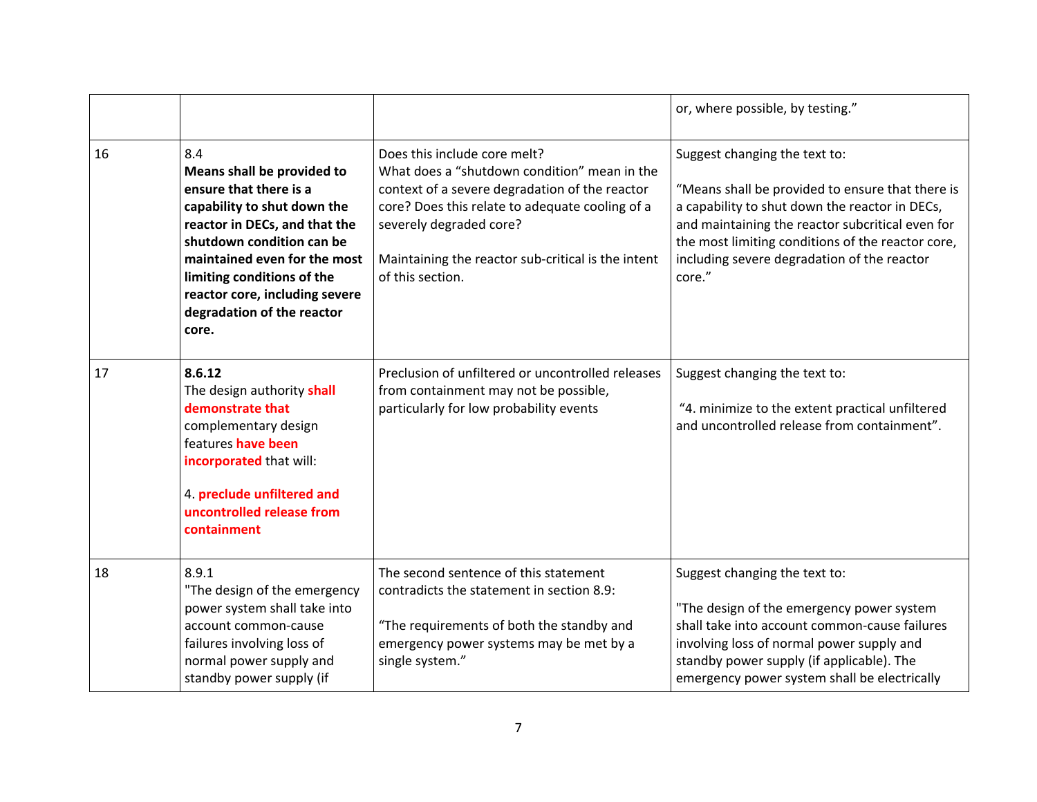|    |                                                                                                                                                                                                                                                                                                 |                                                                                                                                                                                                                                                                                        | or, where possible, by testing."                                                                                                                                                                                                                                                                      |
|----|-------------------------------------------------------------------------------------------------------------------------------------------------------------------------------------------------------------------------------------------------------------------------------------------------|----------------------------------------------------------------------------------------------------------------------------------------------------------------------------------------------------------------------------------------------------------------------------------------|-------------------------------------------------------------------------------------------------------------------------------------------------------------------------------------------------------------------------------------------------------------------------------------------------------|
| 16 | 8.4<br>Means shall be provided to<br>ensure that there is a<br>capability to shut down the<br>reactor in DECs, and that the<br>shutdown condition can be<br>maintained even for the most<br>limiting conditions of the<br>reactor core, including severe<br>degradation of the reactor<br>core. | Does this include core melt?<br>What does a "shutdown condition" mean in the<br>context of a severe degradation of the reactor<br>core? Does this relate to adequate cooling of a<br>severely degraded core?<br>Maintaining the reactor sub-critical is the intent<br>of this section. | Suggest changing the text to:<br>"Means shall be provided to ensure that there is<br>a capability to shut down the reactor in DECs,<br>and maintaining the reactor subcritical even for<br>the most limiting conditions of the reactor core,<br>including severe degradation of the reactor<br>core." |
| 17 | 8.6.12<br>The design authority shall<br>demonstrate that<br>complementary design<br>features have been<br>incorporated that will:<br>4. preclude unfiltered and<br>uncontrolled release from<br>containment                                                                                     | Preclusion of unfiltered or uncontrolled releases<br>from containment may not be possible,<br>particularly for low probability events                                                                                                                                                  | Suggest changing the text to:<br>"4. minimize to the extent practical unfiltered<br>and uncontrolled release from containment".                                                                                                                                                                       |
| 18 | 8.9.1<br>"The design of the emergency<br>power system shall take into<br>account common-cause<br>failures involving loss of<br>normal power supply and<br>standby power supply (if                                                                                                              | The second sentence of this statement<br>contradicts the statement in section 8.9:<br>"The requirements of both the standby and<br>emergency power systems may be met by a<br>single system."                                                                                          | Suggest changing the text to:<br>"The design of the emergency power system<br>shall take into account common-cause failures<br>involving loss of normal power supply and<br>standby power supply (if applicable). The<br>emergency power system shall be electrically                                 |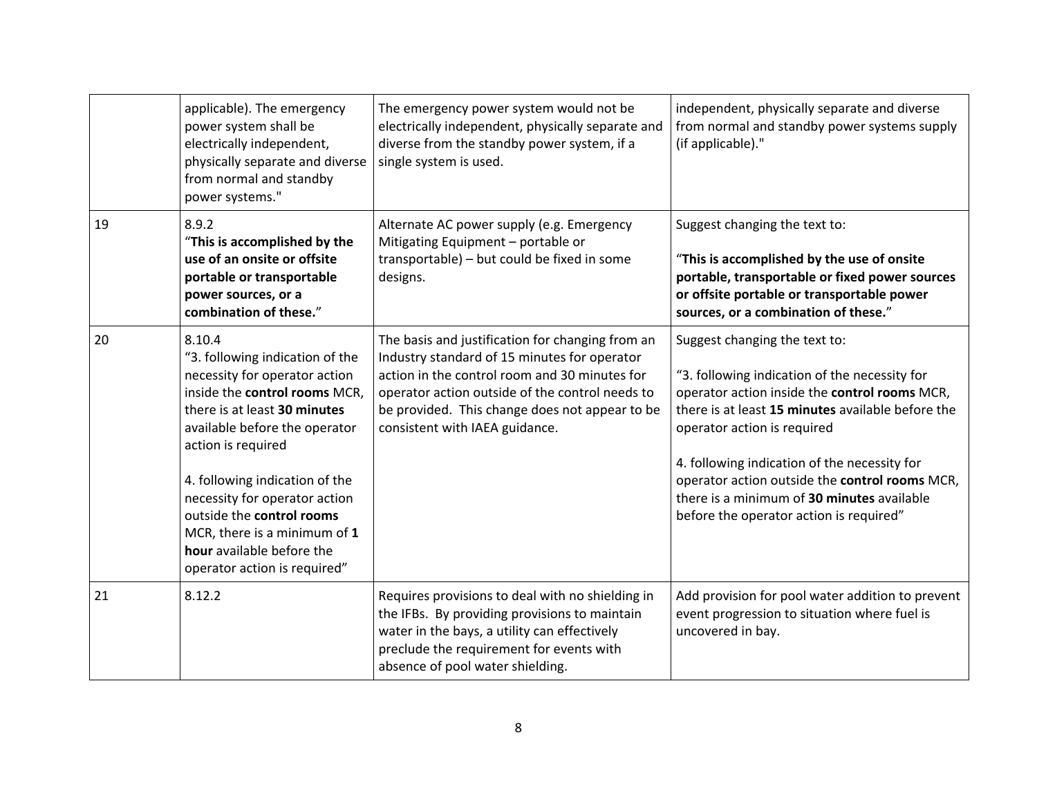|    | applicable). The emergency<br>power system shall be<br>electrically independent,<br>physically separate and diverse<br>from normal and standby<br>power systems."                                                                                                                                                                                                                               | The emergency power system would not be<br>electrically independent, physically separate and<br>diverse from the standby power system, if a<br>single system is used.                                                                                                                    | independent, physically separate and diverse<br>from normal and standby power systems supply<br>(if applicable)."                                                                                                                                                                                                                                                                                              |
|----|-------------------------------------------------------------------------------------------------------------------------------------------------------------------------------------------------------------------------------------------------------------------------------------------------------------------------------------------------------------------------------------------------|------------------------------------------------------------------------------------------------------------------------------------------------------------------------------------------------------------------------------------------------------------------------------------------|----------------------------------------------------------------------------------------------------------------------------------------------------------------------------------------------------------------------------------------------------------------------------------------------------------------------------------------------------------------------------------------------------------------|
| 19 | 8.9.2<br>"This is accomplished by the<br>use of an onsite or offsite<br>portable or transportable<br>power sources, or a<br>combination of these."                                                                                                                                                                                                                                              | Alternate AC power supply (e.g. Emergency<br>Mitigating Equipment - portable or<br>transportable) - but could be fixed in some<br>designs.                                                                                                                                               | Suggest changing the text to:<br>"This is accomplished by the use of onsite<br>portable, transportable or fixed power sources<br>or offsite portable or transportable power<br>sources, or a combination of these."                                                                                                                                                                                            |
| 20 | 8.10.4<br>"3. following indication of the<br>necessity for operator action<br>inside the control rooms MCR,<br>there is at least 30 minutes<br>available before the operator<br>action is required<br>4. following indication of the<br>necessity for operator action<br>outside the control rooms<br>MCR, there is a minimum of 1<br>hour available before the<br>operator action is required" | The basis and justification for changing from an<br>Industry standard of 15 minutes for operator<br>action in the control room and 30 minutes for<br>operator action outside of the control needs to<br>be provided. This change does not appear to be<br>consistent with IAEA guidance. | Suggest changing the text to:<br>"3. following indication of the necessity for<br>operator action inside the control rooms MCR,<br>there is at least 15 minutes available before the<br>operator action is required<br>4. following indication of the necessity for<br>operator action outside the control rooms MCR,<br>there is a minimum of 30 minutes available<br>before the operator action is required" |
| 21 | 8.12.2                                                                                                                                                                                                                                                                                                                                                                                          | Requires provisions to deal with no shielding in<br>the IFBs. By providing provisions to maintain<br>water in the bays, a utility can effectively<br>preclude the requirement for events with<br>absence of pool water shielding.                                                        | Add provision for pool water addition to prevent<br>event progression to situation where fuel is<br>uncovered in bay.                                                                                                                                                                                                                                                                                          |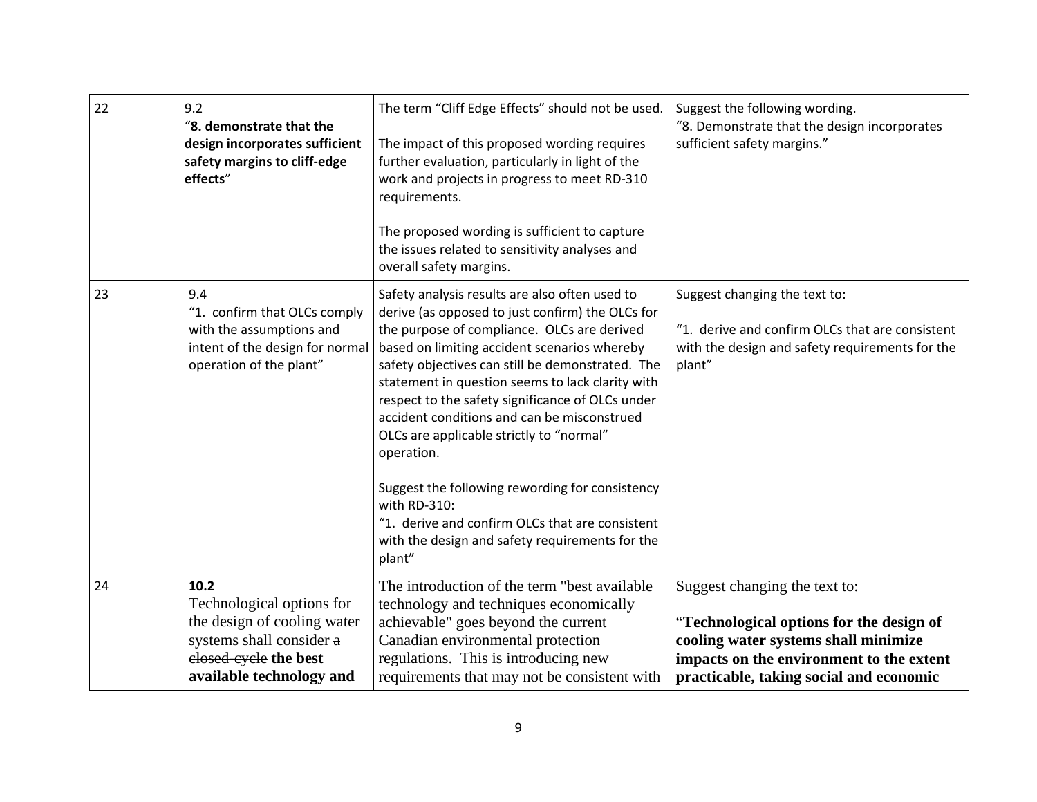| 22 | 9.2<br>"8. demonstrate that the<br>design incorporates sufficient<br>safety margins to cliff-edge<br>effects"                                     | The term "Cliff Edge Effects" should not be used.<br>The impact of this proposed wording requires<br>further evaluation, particularly in light of the<br>work and projects in progress to meet RD-310<br>requirements.<br>The proposed wording is sufficient to capture<br>the issues related to sensitivity analyses and<br>overall safety margins.                                                                                                                                                                                                                                                                                                      | Suggest the following wording.<br>"8. Demonstrate that the design incorporates<br>sufficient safety margins."                                                                                            |
|----|---------------------------------------------------------------------------------------------------------------------------------------------------|-----------------------------------------------------------------------------------------------------------------------------------------------------------------------------------------------------------------------------------------------------------------------------------------------------------------------------------------------------------------------------------------------------------------------------------------------------------------------------------------------------------------------------------------------------------------------------------------------------------------------------------------------------------|----------------------------------------------------------------------------------------------------------------------------------------------------------------------------------------------------------|
| 23 | 9.4<br>"1. confirm that OLCs comply<br>with the assumptions and<br>intent of the design for normal<br>operation of the plant"                     | Safety analysis results are also often used to<br>derive (as opposed to just confirm) the OLCs for<br>the purpose of compliance. OLCs are derived<br>based on limiting accident scenarios whereby<br>safety objectives can still be demonstrated. The<br>statement in question seems to lack clarity with<br>respect to the safety significance of OLCs under<br>accident conditions and can be misconstrued<br>OLCs are applicable strictly to "normal"<br>operation.<br>Suggest the following rewording for consistency<br>with RD-310:<br>"1. derive and confirm OLCs that are consistent<br>with the design and safety requirements for the<br>plant" | Suggest changing the text to:<br>"1. derive and confirm OLCs that are consistent<br>with the design and safety requirements for the<br>plant"                                                            |
| 24 | 10.2<br>Technological options for<br>the design of cooling water<br>systems shall consider a<br>elosed-eyele the best<br>available technology and | The introduction of the term "best available"<br>technology and techniques economically<br>achievable" goes beyond the current<br>Canadian environmental protection<br>regulations. This is introducing new<br>requirements that may not be consistent with                                                                                                                                                                                                                                                                                                                                                                                               | Suggest changing the text to:<br>"Technological options for the design of<br>cooling water systems shall minimize<br>impacts on the environment to the extent<br>practicable, taking social and economic |